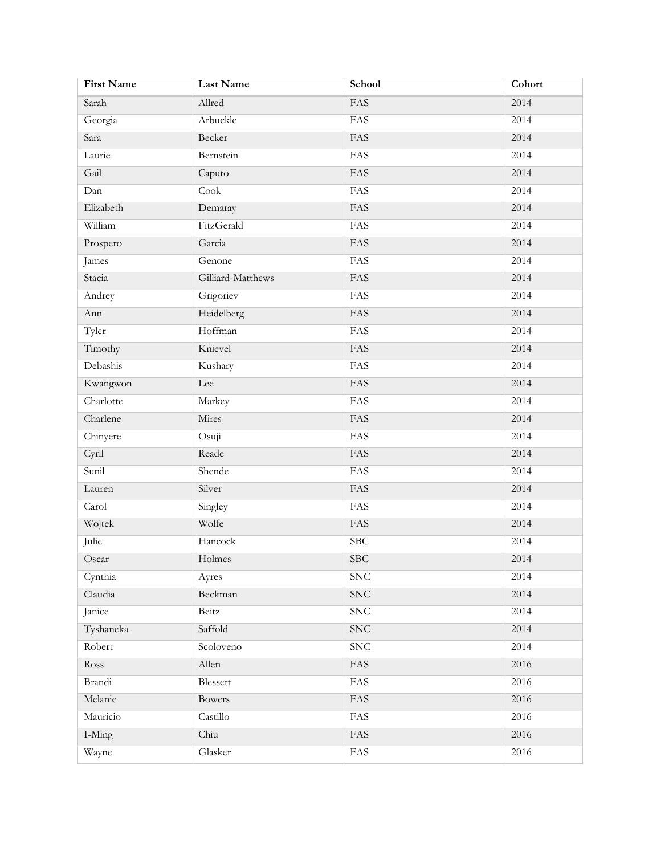| <b>First Name</b> | Last Name         | School                  | Cohort |
|-------------------|-------------------|-------------------------|--------|
| Sarah             | Allred            | FAS                     | 2014   |
| Georgia           | Arbuckle          | <b>FAS</b>              | 2014   |
| Sara              | Becker            | FAS                     | 2014   |
| Laurie            | Bernstein         | FAS                     | 2014   |
| Gail              | Caputo            | FAS                     | 2014   |
| Dan               | $\mathrm{Cook}$   | FAS                     | 2014   |
| Elizabeth         | Demaray           | FAS                     | 2014   |
| William           | FitzGerald        | FAS                     | 2014   |
| Prospero          | Garcia            | FAS                     | 2014   |
| James             | Genone            | $\overline{\text{FAS}}$ | 2014   |
| Stacia            | Gilliard-Matthews | FAS                     | 2014   |
| Andrey            | Grigoriev         | <b>FAS</b>              | 2014   |
| Ann               | Heidelberg        | FAS                     | 2014   |
| Tyler             | Hoffman           | FAS                     | 2014   |
| Timothy           | Knievel           | FAS                     | 2014   |
| Debashis          | Kushary           | FAS                     | 2014   |
| Kwangwon          | Lee               | FAS                     | 2014   |
| Charlotte         | Markey            | FAS                     | 2014   |
| Charlene          | Mires             | FAS                     | 2014   |
| Chinyere          | Osuji             | FAS                     | 2014   |
| Cyril             | Reade             | FAS                     | 2014   |
| Sunil             | Shende            | <b>FAS</b>              | 2014   |
| Lauren            | Silver            | FAS                     | 2014   |
| Carol             | Singley           | <b>FAS</b>              | 2014   |
| Wojtek            | Wolfe             | FAS                     | 2014   |
| Julie             | Hancock           | SBC                     | 2014   |
| Oscar             | Holmes            | <b>SBC</b>              | 2014   |
| Cynthia           | Ayres             | ${\rm SNC}$             | 2014   |
| Claudia           | Beckman           | ${\rm SNC}$             | 2014   |
| Janice            | Beitz             | <b>SNC</b>              | 2014   |
| Tyshaneka         | Saffold           | ${\rm SNC}$             | 2014   |
| Robert            | Scoloveno         | <b>SNC</b>              | 2014   |
| Ross              | Allen             | FAS                     | 2016   |
| Brandi            | Blessett          | FAS                     | 2016   |
| Melanie           | Bowers            | FAS                     | 2016   |
| Mauricio          | Castillo          | FAS                     | 2016   |
| I-Ming            | Chiu              | FAS                     | 2016   |
| Wayne             | Glasker           | FAS                     | 2016   |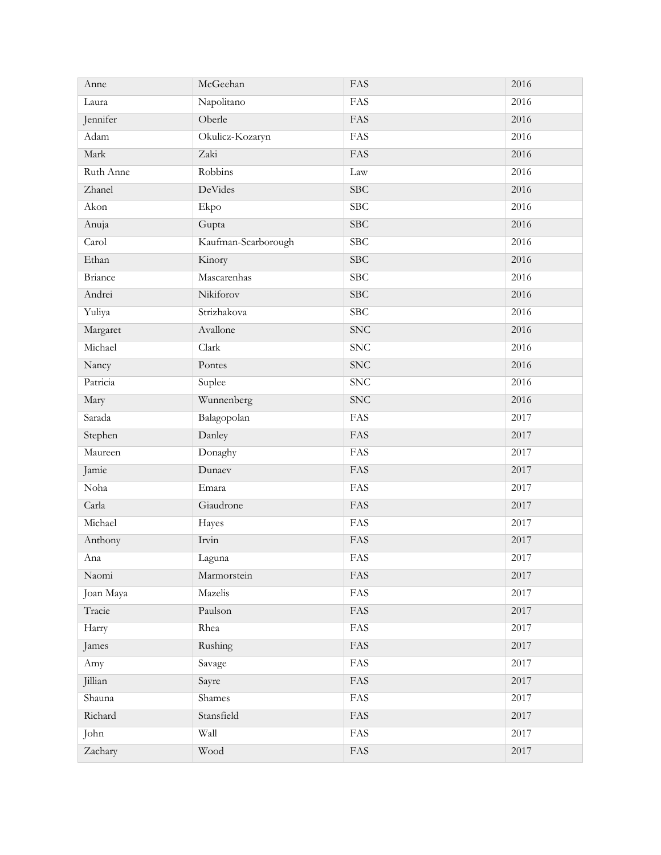| Anne           | McGeehan            | FAS          | 2016     |
|----------------|---------------------|--------------|----------|
| Laura          | Napolitano          | FAS          | 2016     |
| Jennifer       | Oberle              | FAS          | 2016     |
| Adam           | Okulicz-Kozaryn     | FAS          | 2016     |
| Mark           | Zaki                | FAS          | 2016     |
| Ruth Anne      | Robbins             | Law          | 2016     |
| Zhanel         | DeVides             | <b>SBC</b>   | 2016     |
| Akon           | Ekpo                | SBC          | 2016     |
| Anuja          | Gupta               | <b>SBC</b>   | 2016     |
| Carol          | Kaufman-Scarborough | SBC          | 2016     |
| Ethan          | Kinory              | <b>SBC</b>   | 2016     |
| <b>Briance</b> | Mascarenhas         | SBC          | 2016     |
| Andrei         | Nikiforov           | <b>SBC</b>   | 2016     |
| Yuliya         | Strizhakova         | <b>SBC</b>   | 2016     |
| Margaret       | Avallone            | <b>SNC</b>   | 2016     |
| Michael        | Clark               | SNC          | 2016     |
| Nancy          | Pontes              | <b>SNC</b>   | 2016     |
| Patricia       | Suplee              | SNC          | 2016     |
| Mary           | Wunnenberg          | <b>SNC</b>   | 2016     |
| Sarada         | Balagopolan         | FAS          | 2017     |
| Stephen        | Danley              | FAS          | 2017     |
| Maureen        | Donaghy             | FAS          | 2017     |
| Jamie          | Dunaev              | FAS          | 2017     |
| Noha           | Emara               | FAS          | 2017     |
| Carla          | Giaudrone           | FAS          | 2017     |
| Michael        | Hayes               | FAS          | 2017     |
| Anthony        | Irvin               | FAS          | 2017     |
| Ana            | Laguna              | FAS          | $2017\,$ |
| Naomi          | Marmorstein         | FAS          | 2017     |
| Joan Maya      | Mazelis             | FAS          | 2017     |
| Tracie         | Paulson             | FAS          | 2017     |
| Harry          | Rhea                | FAS          | 2017     |
| James          | Rushing             | FAS          | 2017     |
| Amy            | Savage              | FAS          | 2017     |
| Jillian        | Sayre               | FAS          | 2017     |
| Shauna         | Shames              | FAS          | 2017     |
| Richard        | Stansfield          | FAS          | 2017     |
| John           | Wall                | FAS          | 2017     |
| Zachary        | Wood                | $\mbox{FAS}$ | 2017     |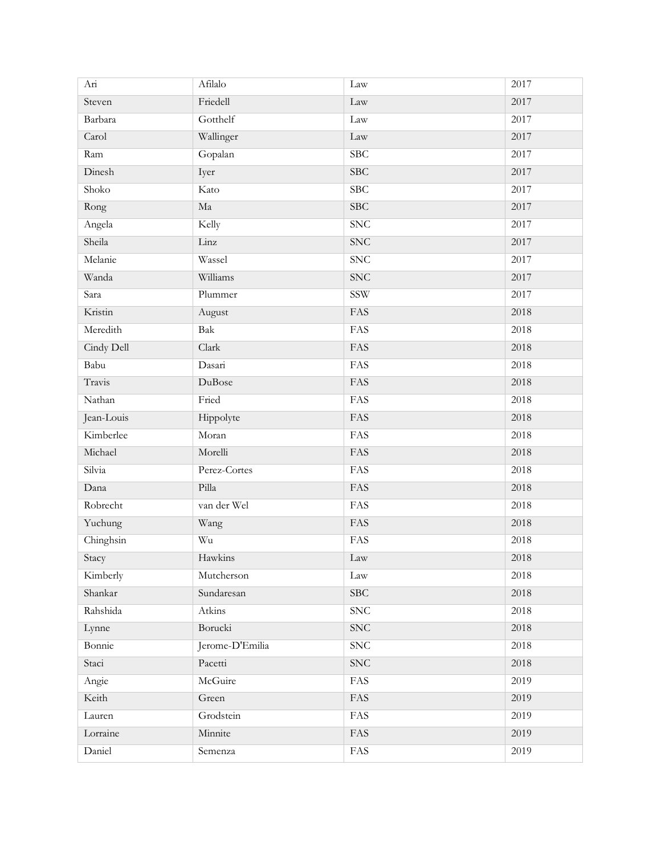| Ari        | Afilalo         | Law          | 2017 |
|------------|-----------------|--------------|------|
| Steven     | Friedell        | Law          | 2017 |
| Barbara    | Gotthelf        | Law          | 2017 |
| Carol      | Wallinger       | Law          | 2017 |
| Ram        | Gopalan         | SBC          | 2017 |
| Dinesh     | Iyer            | <b>SBC</b>   | 2017 |
| Shoko      | Kato            | SBC          | 2017 |
| Rong       | Ma              | <b>SBC</b>   | 2017 |
| Angela     | Kelly           | SNC          | 2017 |
| Sheila     | Linz            | <b>SNC</b>   | 2017 |
| Melanie    | Wassel          | SNC          | 2017 |
| Wanda      | Williams        | <b>SNC</b>   | 2017 |
| Sara       | Plummer         | SSW          | 2017 |
| Kristin    | August          | FAS          | 2018 |
| Meredith   | Bak             | FAS          | 2018 |
| Cindy Dell | Clark           | FAS          | 2018 |
| Babu       | Dasari          | FAS          | 2018 |
| Travis     | <b>DuBose</b>   | FAS          | 2018 |
| Nathan     | Fried           | <b>FAS</b>   | 2018 |
| Jean-Louis | Hippolyte       | FAS          | 2018 |
| Kimberlee  | Moran           | FAS          | 2018 |
| Michael    | Morelli         | FAS          | 2018 |
| Silvia     | Perez-Cortes    | FAS          | 2018 |
| Dana       | Pilla           | FAS          | 2018 |
| Robrecht   | van der Wel     | FAS          | 2018 |
| Yuchung    | Wang            | FAS          | 2018 |
| Chinghsin  | Wu              | FAS          | 2018 |
| Stacy      | Hawkins         | Law          | 2018 |
| Kimberly   | Mutcherson      | Law          | 2018 |
| Shankar    | Sundaresan      | SBC          | 2018 |
| Rahshida   | Atkins          | <b>SNC</b>   | 2018 |
| Lynne      | Borucki         | <b>SNC</b>   | 2018 |
| Bonnie     | Jerome-D'Emilia | <b>SNC</b>   | 2018 |
| Staci      | Pacetti         | ${\rm SNC}$  | 2018 |
| Angie      | McGuire         | FAS          | 2019 |
| Keith      | Green           | FAS          | 2019 |
| Lauren     | Grodstein       | FAS          | 2019 |
| Lorraine   | Minnite         | $\mbox{FAS}$ | 2019 |
| Daniel     | Semenza         | FAS          | 2019 |